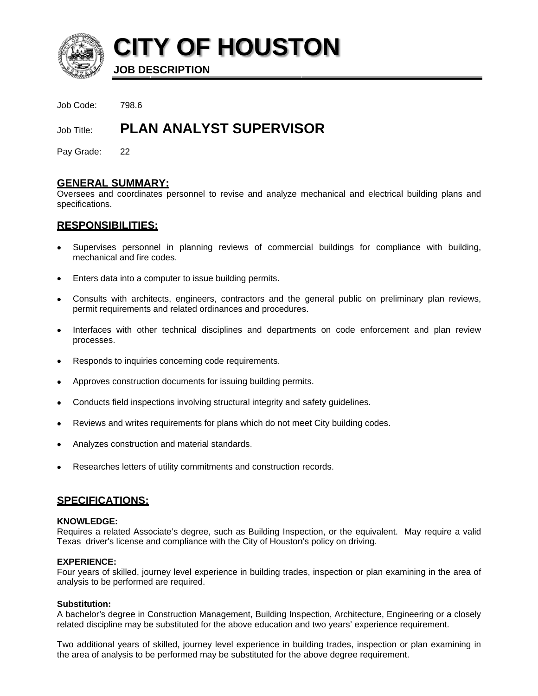

**CITY OF HOUSTON** 

**JOB DESCRIPTION** 

Job Code: 798.6

#### **PLAN ANALYST SUPERVISOR** Job Title:

Pay Grade: 22

# **GENERAL SUMMARY:**

Oversees and coordinates personnel to revise and analyze mechanical and electrical building plans and specifications.

# <u>RESPONSIBILITIES:</u>

- Supervises personnel in planning reviews of commercial buildings for compliance with building,  $\bullet$ mechanical and fire codes.
- Enters data into a computer to issue building permits.
- Consults with architects, engineers, contractors and the general public on preliminary plan reviews, permit requirements and related ordinances and procedures.
- Interfaces with other technical disciplines and departments on code enforcement and plan review processes.
- Responds to inquiries concerning code requirements.
- Approves construction documents for issuing building permits.
- Conducts field inspections involving structural integrity and safety guidelines.
- Reviews and writes requirements for plans which do not meet City building codes.
- Analyzes construction and material standards.
- Researches letters of utility commitments and construction records.

### **SPECIFICATIONS:**

#### **KNOWLEDGE:**

Requires a related Associate's degree, such as Building Inspection, or the equivalent. May require a valid Texas driver's license and compliance with the City of Houston's policy on driving.

#### **EXPERIENCE:**

Four years of skilled, journey level experience in building trades, inspection or plan examining in the area of analysis to be performed are required.

#### **Substitution:**

A bachelor's degree in Construction Management, Building Inspection, Architecture, Engineering or a closely related discipline may be substituted for the above education and two years' experience requirement.

Two additional years of skilled, journey level experience in building trades, inspection or plan examining in the area of analysis to be performed may be substituted for the above degree requirement.